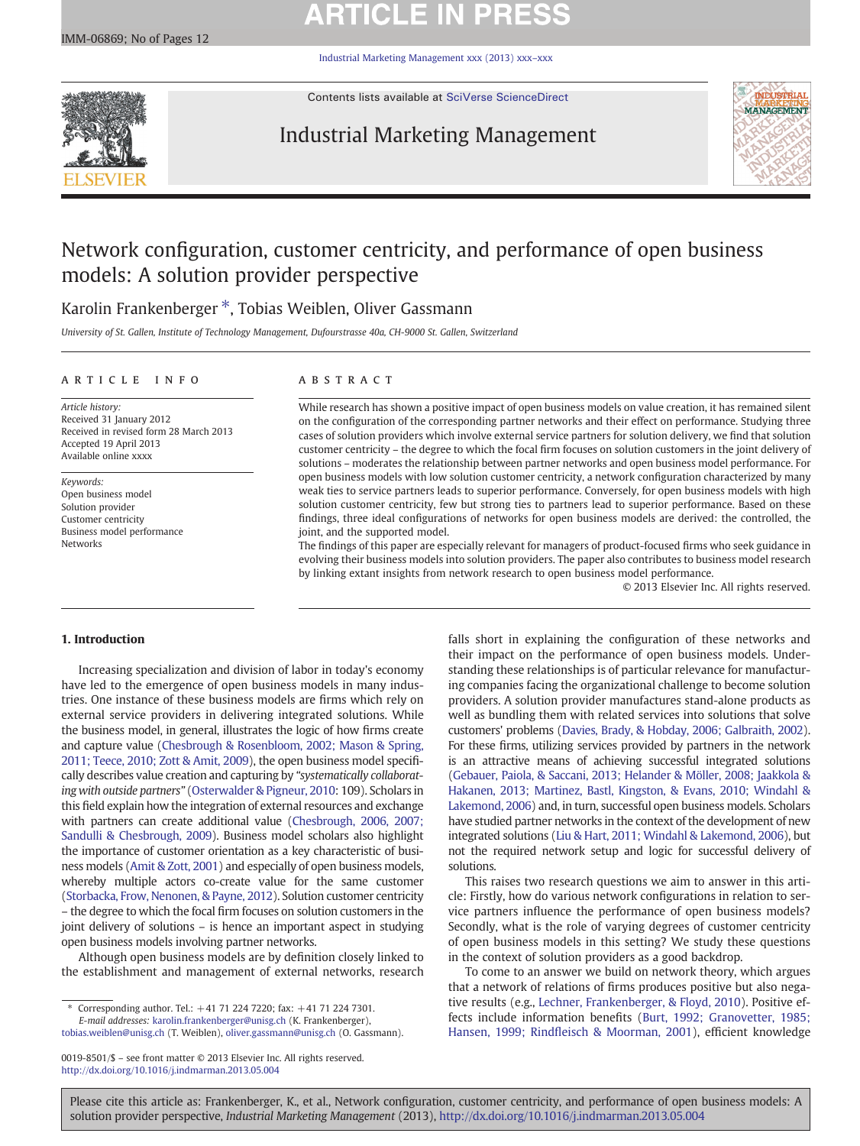# **ARTICLE IN PRESS**

[Industrial Marketing Management xxx \(2013\) xxx](http://dx.doi.org/10.1016/j.indmarman.2013.05.004)–xxx



Contents lists available at [SciVerse ScienceDirect](http://www.sciencedirect.com/science/journal/00198501)

## Industrial Marketing Management



## Network configuration, customer centricity, and performance of open business models: A solution provider perspective

## Karolin Frankenberger \*, Tobias Weiblen, Oliver Gassmann

University of St. Gallen, Institute of Technology Management, Dufourstrasse 40a, CH-9000 St. Gallen, Switzerland

## article info abstract

Article history: Received 31 January 2012 Received in revised form 28 March 2013 Accepted 19 April 2013 Available online xxxx

Keywords: Open business model Solution provider Customer centricity Business model performance Networks

While research has shown a positive impact of open business models on value creation, it has remained silent on the configuration of the corresponding partner networks and their effect on performance. Studying three cases of solution providers which involve external service partners for solution delivery, we find that solution customer centricity – the degree to which the focal firm focuses on solution customers in the joint delivery of solutions – moderates the relationship between partner networks and open business model performance. For open business models with low solution customer centricity, a network configuration characterized by many weak ties to service partners leads to superior performance. Conversely, for open business models with high solution customer centricity, few but strong ties to partners lead to superior performance. Based on these findings, three ideal configurations of networks for open business models are derived: the controlled, the joint, and the supported model.

The findings of this paper are especially relevant for managers of product-focused firms who seek guidance in evolving their business models into solution providers. The paper also contributes to business model research by linking extant insights from network research to open business model performance.

© 2013 Elsevier Inc. All rights reserved.

## 1. Introduction

Increasing specialization and division of labor in today's economy have led to the emergence of open business models in many industries. One instance of these business models are firms which rely on external service providers in delivering integrated solutions. While the business model, in general, illustrates the logic of how firms create and capture value [\(Chesbrough & Rosenbloom, 2002; Mason & Spring,](#page--1-0) [2011; Teece, 2010; Zott & Amit, 2009](#page--1-0)), the open business model specifically describes value creation and capturing by "systematically collaborating with outside partners" [\(Osterwalder & Pigneur, 2010](#page--1-0): 109). Scholars in this field explain how the integration of external resources and exchange with partners can create additional value ([Chesbrough, 2006, 2007;](#page--1-0) [Sandulli & Chesbrough, 2009\)](#page--1-0). Business model scholars also highlight the importance of customer orientation as a key characteristic of business models [\(Amit & Zott, 2001](#page--1-0)) and especially of open business models, whereby multiple actors co-create value for the same customer [\(Storbacka, Frow, Nenonen, & Payne, 2012\)](#page--1-0). Solution customer centricity – the degree to which the focal firm focuses on solution customers in the joint delivery of solutions – is hence an important aspect in studying open business models involving partner networks.

Although open business models are by definition closely linked to the establishment and management of external networks, research

⁎ Corresponding author. Tel.: +41 71 224 7220; fax: +41 71 224 7301. E-mail addresses: [karolin.frankenberger@unisg.ch](mailto:karolin.frankenberger@unisg.ch) (K. Frankenberger),

[tobias.weiblen@unisg.ch](mailto:tobias.weiblen@unisg.ch) (T. Weiblen), [oliver.gassmann@unisg.ch](mailto:oliver.gassmann@unisg.ch) (O. Gassmann).

0019-8501/\$ – see front matter © 2013 Elsevier Inc. All rights reserved. <http://dx.doi.org/10.1016/j.indmarman.2013.05.004>

falls short in explaining the configuration of these networks and their impact on the performance of open business models. Understanding these relationships is of particular relevance for manufacturing companies facing the organizational challenge to become solution providers. A solution provider manufactures stand-alone products as well as bundling them with related services into solutions that solve customers' problems [\(Davies, Brady, & Hobday, 2006; Galbraith, 2002](#page--1-0)). For these firms, utilizing services provided by partners in the network is an attractive means of achieving successful integrated solutions [\(Gebauer, Paiola, & Saccani, 2013; Helander & Möller, 2008; Jaakkola &](#page--1-0) [Hakanen, 2013; Martinez, Bastl, Kingston, & Evans, 2010; Windahl &](#page--1-0) [Lakemond, 2006\)](#page--1-0) and, in turn, successful open business models. Scholars have studied partner networks in the context of the development of new integrated solutions [\(Liu & Hart, 2011; Windahl & Lakemond, 2006\)](#page--1-0), but not the required network setup and logic for successful delivery of solutions.

This raises two research questions we aim to answer in this article: Firstly, how do various network configurations in relation to service partners influence the performance of open business models? Secondly, what is the role of varying degrees of customer centricity of open business models in this setting? We study these questions in the context of solution providers as a good backdrop.

To come to an answer we build on network theory, which argues that a network of relations of firms produces positive but also negative results (e.g., [Lechner, Frankenberger, & Floyd, 2010](#page--1-0)). Positive effects include information benefits [\(Burt, 1992; Granovetter, 1985;](#page--1-0) [Hansen, 1999; Rind](#page--1-0)fleisch & Moorman, 2001), efficient knowledge

Please cite this article as: Frankenberger, K., et al., Network configuration, customer centricity, and performance of open business models: A solution provider perspective, Industrial Marketing Management (2013), <http://dx.doi.org/10.1016/j.indmarman.2013.05.004>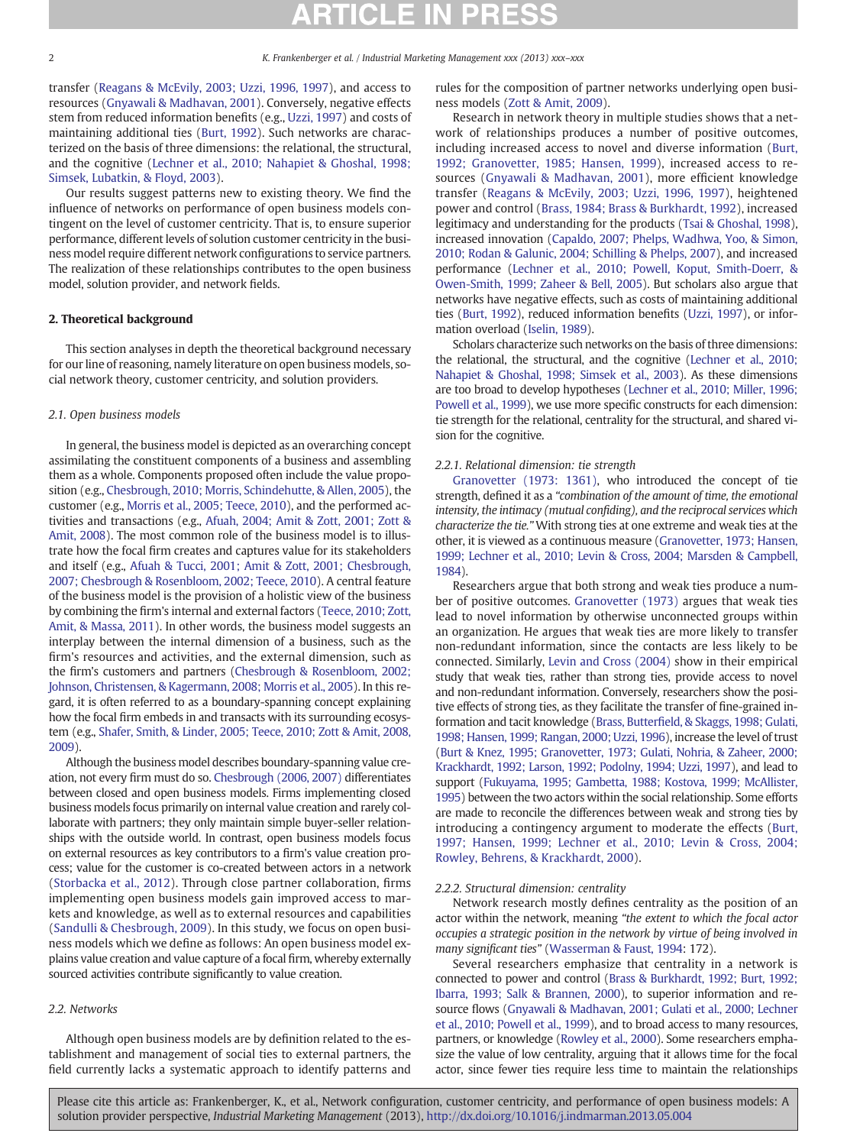transfer [\(Reagans & McEvily, 2003; Uzzi, 1996, 1997\)](#page--1-0), and access to resources ([Gnyawali & Madhavan, 2001\)](#page--1-0). Conversely, negative effects stem from reduced information benefits (e.g., [Uzzi, 1997\)](#page--1-0) and costs of maintaining additional ties [\(Burt, 1992](#page--1-0)). Such networks are characterized on the basis of three dimensions: the relational, the structural, and the cognitive [\(Lechner et al., 2010; Nahapiet & Ghoshal, 1998;](#page--1-0) [Simsek, Lubatkin, & Floyd, 2003\)](#page--1-0).

Our results suggest patterns new to existing theory. We find the influence of networks on performance of open business models contingent on the level of customer centricity. That is, to ensure superior performance, different levels of solution customer centricity in the business model require different network configurations to service partners. The realization of these relationships contributes to the open business model, solution provider, and network fields.

### 2. Theoretical background

This section analyses in depth the theoretical background necessary for our line of reasoning, namely literature on open business models, social network theory, customer centricity, and solution providers.

### 2.1. Open business models

In general, the business model is depicted as an overarching concept assimilating the constituent components of a business and assembling them as a whole. Components proposed often include the value proposition (e.g., [Chesbrough, 2010; Morris, Schindehutte, & Allen, 2005](#page--1-0)), the customer (e.g., [Morris et al., 2005; Teece, 2010](#page--1-0)), and the performed activities and transactions (e.g., [Afuah, 2004; Amit & Zott, 2001; Zott &](#page--1-0) [Amit, 2008](#page--1-0)). The most common role of the business model is to illustrate how the focal firm creates and captures value for its stakeholders and itself (e.g., [Afuah & Tucci, 2001; Amit & Zott, 2001; Chesbrough,](#page--1-0) [2007; Chesbrough & Rosenbloom, 2002; Teece, 2010](#page--1-0)). A central feature of the business model is the provision of a holistic view of the business by combining the firm's internal and external factors [\(Teece, 2010; Zott,](#page--1-0) [Amit, & Massa, 2011](#page--1-0)). In other words, the business model suggests an interplay between the internal dimension of a business, such as the firm's resources and activities, and the external dimension, such as the firm's customers and partners ([Chesbrough & Rosenbloom, 2002;](#page--1-0) [Johnson, Christensen, & Kagermann, 2008; Morris et al., 2005\)](#page--1-0). In this regard, it is often referred to as a boundary-spanning concept explaining how the focal firm embeds in and transacts with its surrounding ecosystem (e.g., [Shafer, Smith, & Linder, 2005; Teece, 2010; Zott & Amit, 2008,](#page--1-0) [2009](#page--1-0)).

Although the business model describes boundary-spanning value creation, not every firm must do so. [Chesbrough \(2006, 2007\)](#page--1-0) differentiates between closed and open business models. Firms implementing closed business models focus primarily on internal value creation and rarely collaborate with partners; they only maintain simple buyer-seller relationships with the outside world. In contrast, open business models focus on external resources as key contributors to a firm's value creation process; value for the customer is co-created between actors in a network [\(Storbacka et al., 2012](#page--1-0)). Through close partner collaboration, firms implementing open business models gain improved access to markets and knowledge, as well as to external resources and capabilities [\(Sandulli & Chesbrough, 2009](#page--1-0)). In this study, we focus on open business models which we define as follows: An open business model explains value creation and value capture of a focal firm, whereby externally sourced activities contribute significantly to value creation.

## 2.2. Networks

Although open business models are by definition related to the establishment and management of social ties to external partners, the field currently lacks a systematic approach to identify patterns and rules for the composition of partner networks underlying open business models [\(Zott & Amit, 2009](#page--1-0)).

Research in network theory in multiple studies shows that a network of relationships produces a number of positive outcomes, including increased access to novel and diverse information ([Burt,](#page--1-0) [1992; Granovetter, 1985; Hansen, 1999\)](#page--1-0), increased access to resources ([Gnyawali & Madhavan, 2001\)](#page--1-0), more efficient knowledge transfer ([Reagans & McEvily, 2003; Uzzi, 1996, 1997](#page--1-0)), heightened power and control [\(Brass, 1984; Brass & Burkhardt, 1992](#page--1-0)), increased legitimacy and understanding for the products [\(Tsai & Ghoshal, 1998\)](#page--1-0), increased innovation ([Capaldo, 2007; Phelps, Wadhwa, Yoo, & Simon,](#page--1-0) [2010; Rodan & Galunic, 2004; Schilling & Phelps, 2007\)](#page--1-0), and increased performance [\(Lechner et al., 2010; Powell, Koput, Smith-Doerr, &](#page--1-0) [Owen-Smith, 1999; Zaheer & Bell, 2005\)](#page--1-0). But scholars also argue that networks have negative effects, such as costs of maintaining additional ties [\(Burt, 1992\)](#page--1-0), reduced information benefits ([Uzzi, 1997](#page--1-0)), or information overload ([Iselin, 1989](#page--1-0)).

Scholars characterize such networks on the basis of three dimensions: the relational, the structural, and the cognitive [\(Lechner et al., 2010;](#page--1-0) [Nahapiet & Ghoshal, 1998; Simsek et al., 2003](#page--1-0)). As these dimensions are too broad to develop hypotheses [\(Lechner et al., 2010; Miller, 1996;](#page--1-0) [Powell et al., 1999\)](#page--1-0), we use more specific constructs for each dimension: tie strength for the relational, centrality for the structural, and shared vision for the cognitive.

## 2.2.1. Relational dimension: tie strength

[Granovetter \(1973: 1361\),](#page--1-0) who introduced the concept of tie strength, defined it as a "combination of the amount of time, the emotional intensity, the intimacy (mutual confiding), and the reciprocal services which characterize the tie." With strong ties at one extreme and weak ties at the other, it is viewed as a continuous measure ([Granovetter, 1973; Hansen,](#page--1-0) [1999; Lechner et al., 2010; Levin &](#page--1-0) Cross, 2004; Marsden & Campbell, [1984](#page--1-0)).

Researchers argue that both strong and weak ties produce a number of positive outcomes. [Granovetter \(1973\)](#page--1-0) argues that weak ties lead to novel information by otherwise unconnected groups within an organization. He argues that weak ties are more likely to transfer non-redundant information, since the contacts are less likely to be connected. Similarly, [Levin and Cross \(2004\)](#page--1-0) show in their empirical study that weak ties, rather than strong ties, provide access to novel and non-redundant information. Conversely, researchers show the positive effects of strong ties, as they facilitate the transfer of fine-grained information and tacit knowledge (Brass, Butterfi[eld, & Skaggs, 1998; Gulati,](#page--1-0) [1998; Hansen, 1999; Rangan, 2000; Uzzi, 1996\)](#page--1-0), increase the level of trust [\(Burt & Knez, 1995; Granovetter, 1973; Gulati, Nohria, & Zaheer, 2000;](#page--1-0) [Krackhardt, 1992; Larson, 1992; Podolny, 1994; Uzzi, 1997](#page--1-0)), and lead to support [\(Fukuyama, 1995; Gambetta, 1988; Kostova, 1999; McAllister,](#page--1-0) [1995](#page--1-0)) between the two actors within the social relationship. Some efforts are made to reconcile the differences between weak and strong ties by introducing a contingency argument to moderate the effects ([Burt,](#page--1-0) [1997; Hansen, 1999; Lechner et al., 2010; Levin & Cross, 2004;](#page--1-0) [Rowley, Behrens, & Krackhardt, 2000\)](#page--1-0).

### 2.2.2. Structural dimension: centrality

Network research mostly defines centrality as the position of an actor within the network, meaning "the extent to which the focal actor occupies a strategic position in the network by virtue of being involved in many significant ties" ([Wasserman & Faust, 1994:](#page--1-0) 172).

Several researchers emphasize that centrality in a network is connected to power and control [\(Brass & Burkhardt, 1992; Burt, 1992;](#page--1-0) [Ibarra, 1993; Salk & Brannen, 2000\)](#page--1-0), to superior information and resource flows ([Gnyawali & Madhavan, 2001; Gulati et al., 2000; Lechner](#page--1-0) [et al., 2010; Powell et al., 1999](#page--1-0)), and to broad access to many resources, partners, or knowledge ([Rowley et al., 2000\)](#page--1-0). Some researchers emphasize the value of low centrality, arguing that it allows time for the focal actor, since fewer ties require less time to maintain the relationships

Please cite this article as: Frankenberger, K., et al., Network configuration, customer centricity, and performance of open business models: A solution provider perspective, Industrial Marketing Management (2013), <http://dx.doi.org/10.1016/j.indmarman.2013.05.004>